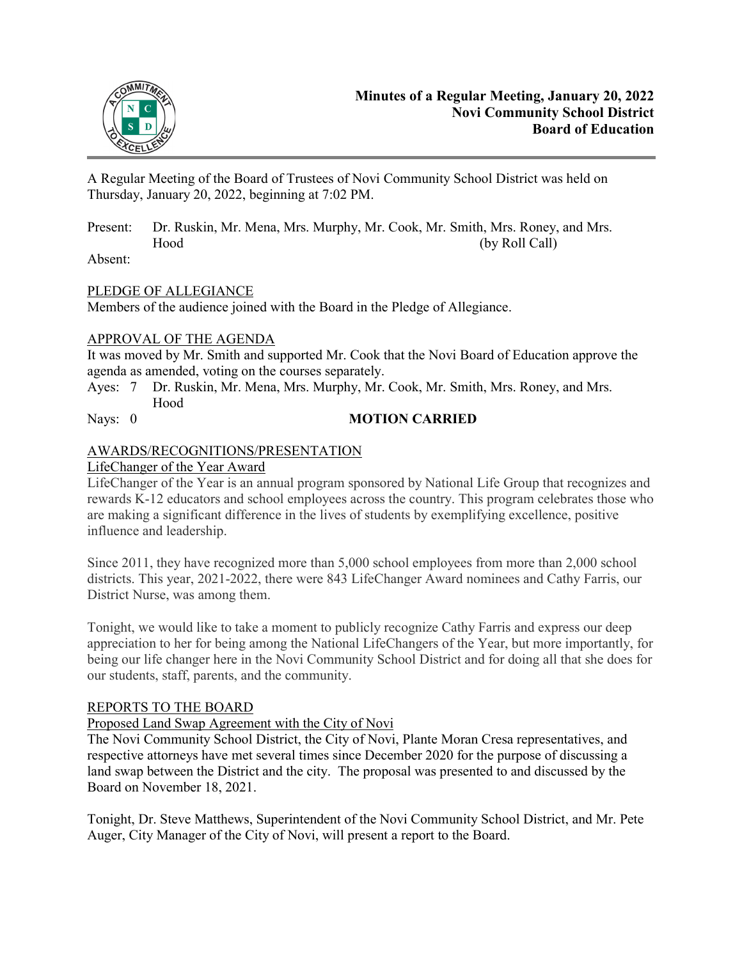

A Regular Meeting of the Board of Trustees of Novi Community School District was held on Thursday, January 20, 2022, beginning at 7:02 PM.

Present: Dr. Ruskin, Mr. Mena, Mrs. Murphy, Mr. Cook, Mr. Smith, Mrs. Roney, and Mrs. Hood (by Roll Call)

Absent:

# PLEDGE OF ALLEGIANCE

Members of the audience joined with the Board in the Pledge of Allegiance.

# APPROVAL OF THE AGENDA

It was moved by Mr. Smith and supported Mr. Cook that the Novi Board of Education approve the agenda as amended, voting on the courses separately.

- Ayes: 7 Dr. Ruskin, Mr. Mena, Mrs. Murphy, Mr. Cook, Mr. Smith, Mrs. Roney, and Mrs. Hood
- 

# Nays: 0 **MOTION CARRIED**

# AWARDS/RECOGNITIONS/PRESENTATION

# LifeChanger of the Year Award

LifeChanger of the Year is an annual program sponsored by National Life Group that recognizes and rewards K-12 educators and school employees across the country. This program celebrates those who are making a significant difference in the lives of students by exemplifying excellence, positive influence and leadership.

Since 2011, they have recognized more than 5,000 school employees from more than 2,000 school districts. This year, 2021-2022, there were 843 LifeChanger Award nominees and Cathy Farris, our District Nurse, was among them.

Tonight, we would like to take a moment to publicly recognize Cathy Farris and express our deep appreciation to her for being among the National LifeChangers of the Year, but more importantly, for being our life changer here in the Novi Community School District and for doing all that she does for our students, staff, parents, and the community.

# REPORTS TO THE BOARD

# Proposed Land Swap Agreement with the City of Novi

The Novi Community School District, the City of Novi, Plante Moran Cresa representatives, and respective attorneys have met several times since December 2020 for the purpose of discussing a land swap between the District and the city. The proposal was presented to and discussed by the Board on November 18, 2021.

Tonight, Dr. Steve Matthews, Superintendent of the Novi Community School District, and Mr. Pete Auger, City Manager of the City of Novi, will present a report to the Board.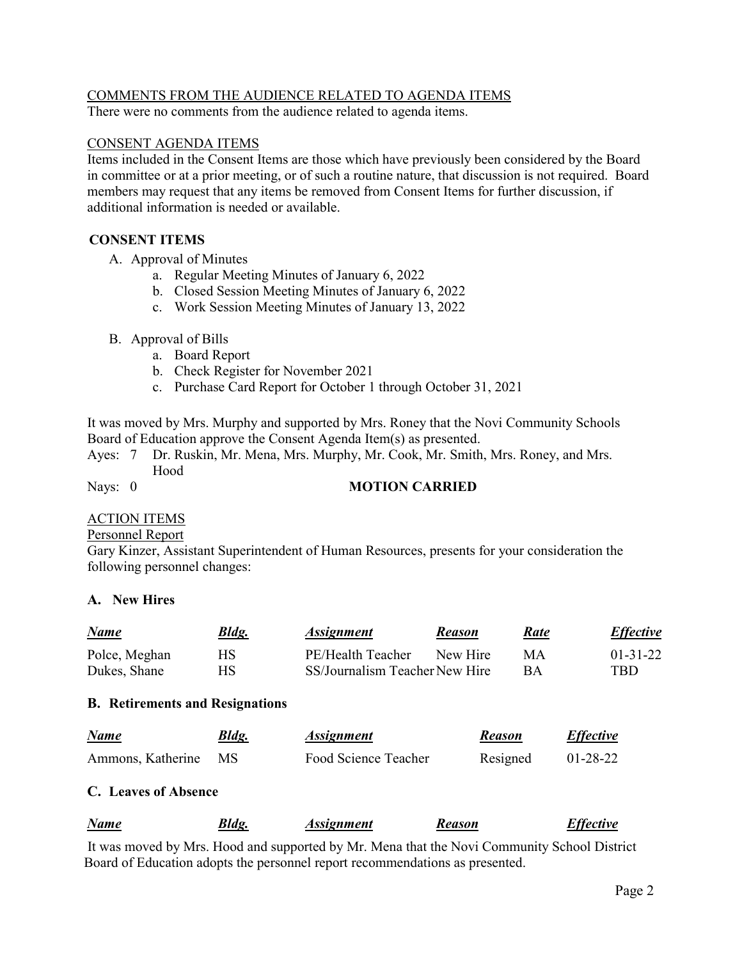# COMMENTS FROM THE AUDIENCE RELATED TO AGENDA ITEMS

There were no comments from the audience related to agenda items.

#### CONSENT AGENDA ITEMS

Items included in the Consent Items are those which have previously been considered by the Board in committee or at a prior meeting, or of such a routine nature, that discussion is not required. Board members may request that any items be removed from Consent Items for further discussion, if additional information is needed or available.

# **CONSENT ITEMS**

- A. Approval of Minutes
	- a. Regular Meeting Minutes of January 6, 2022
	- b. Closed Session Meeting Minutes of January 6, 2022
	- c. Work Session Meeting Minutes of January 13, 2022
- B. Approval of Bills
	- a. Board Report
	- b. Check Register for November 2021
	- c. Purchase Card Report for October 1 through October 31, 2021

It was moved by Mrs. Murphy and supported by Mrs. Roney that the Novi Community Schools Board of Education approve the Consent Agenda Item(s) as presented.

Ayes: 7 Dr. Ruskin, Mr. Mena, Mrs. Murphy, Mr. Cook, Mr. Smith, Mrs. Roney, and Mrs. Hood

# Nays: 0 **MOTION CARRIED**

# ACTION ITEMS

#### Personnel Report

Gary Kinzer, Assistant Superintendent of Human Resources, presents for your consideration the following personnel changes:

# **A. New Hires**

| <u>Name</u>   | <u>Bldg.</u> | <i>Assignment</i>              | <b>Reason</b> | Rate      | <b>Effective</b> |
|---------------|--------------|--------------------------------|---------------|-----------|------------------|
| Polce, Meghan | НS           | PE/Health Teacher              | New Hire      | MА        | $01 - 31 - 22$   |
| Dukes, Shane  | НS           | SS/Journalism Teacher New Hire |               | <b>BA</b> | TBD              |

# **B. Retirements and Resignations**

| Name              | Bldg.     | <i><b>Assignment</b></i> | <b>Reason</b> | <b>Effective</b> |
|-------------------|-----------|--------------------------|---------------|------------------|
| Ammons, Katherine | <b>MS</b> | Food Science Teacher     | Resigned      | $01-28-22$       |

# **C. Leaves of Absence**

|  | <b>Name</b> | Bldg. | Assignment | Reason | <b>Effective</b> |
|--|-------------|-------|------------|--------|------------------|
|--|-------------|-------|------------|--------|------------------|

 It was moved by Mrs. Hood and supported by Mr. Mena that the Novi Community School District Board of Education adopts the personnel report recommendations as presented.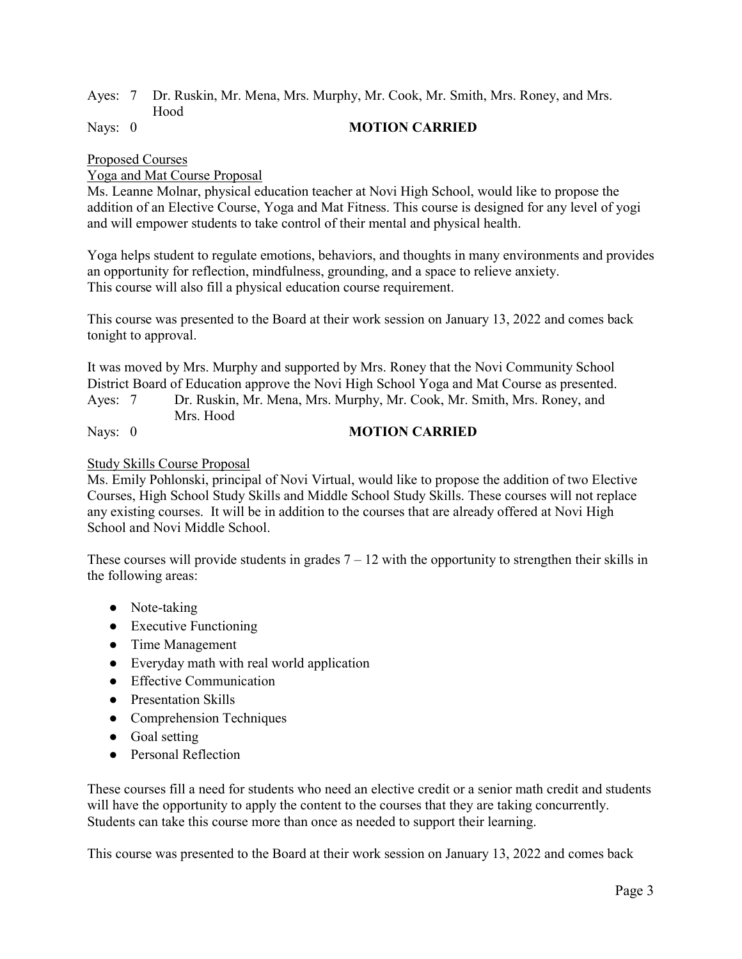#### Ayes: 7 Dr. Ruskin, Mr. Mena, Mrs. Murphy, Mr. Cook, Mr. Smith, Mrs. Roney, and Mrs. Hood Nays: 0 **MOTION CARRIED**

#### Proposed Courses

#### Yoga and Mat Course Proposal

Ms. Leanne Molnar, physical education teacher at Novi High School, would like to propose the addition of an Elective Course, Yoga and Mat Fitness. This course is designed for any level of yogi and will empower students to take control of their mental and physical health.

Yoga helps student to regulate emotions, behaviors, and thoughts in many environments and provides an opportunity for reflection, mindfulness, grounding, and a space to relieve anxiety. This course will also fill a physical education course requirement.

This course was presented to the Board at their work session on January 13, 2022 and comes back tonight to approval.

It was moved by Mrs. Murphy and supported by Mrs. Roney that the Novi Community School District Board of Education approve the Novi High School Yoga and Mat Course as presented.

Ayes: 7 Dr. Ruskin, Mr. Mena, Mrs. Murphy, Mr. Cook, Mr. Smith, Mrs. Roney, and Mrs. Hood

# Nays: 0 **MOTION CARRIED**

#### Study Skills Course Proposal

Ms. Emily Pohlonski, principal of Novi Virtual, would like to propose the addition of two Elective Courses, High School Study Skills and Middle School Study Skills. These courses will not replace any existing courses. It will be in addition to the courses that are already offered at Novi High School and Novi Middle School.

These courses will provide students in grades  $7 - 12$  with the opportunity to strengthen their skills in the following areas:

- Note-taking
- Executive Functioning
- Time Management
- Everyday math with real world application
- Effective Communication
- Presentation Skills
- Comprehension Techniques
- Goal setting
- Personal Reflection

These courses fill a need for students who need an elective credit or a senior math credit and students will have the opportunity to apply the content to the courses that they are taking concurrently. Students can take this course more than once as needed to support their learning.

This course was presented to the Board at their work session on January 13, 2022 and comes back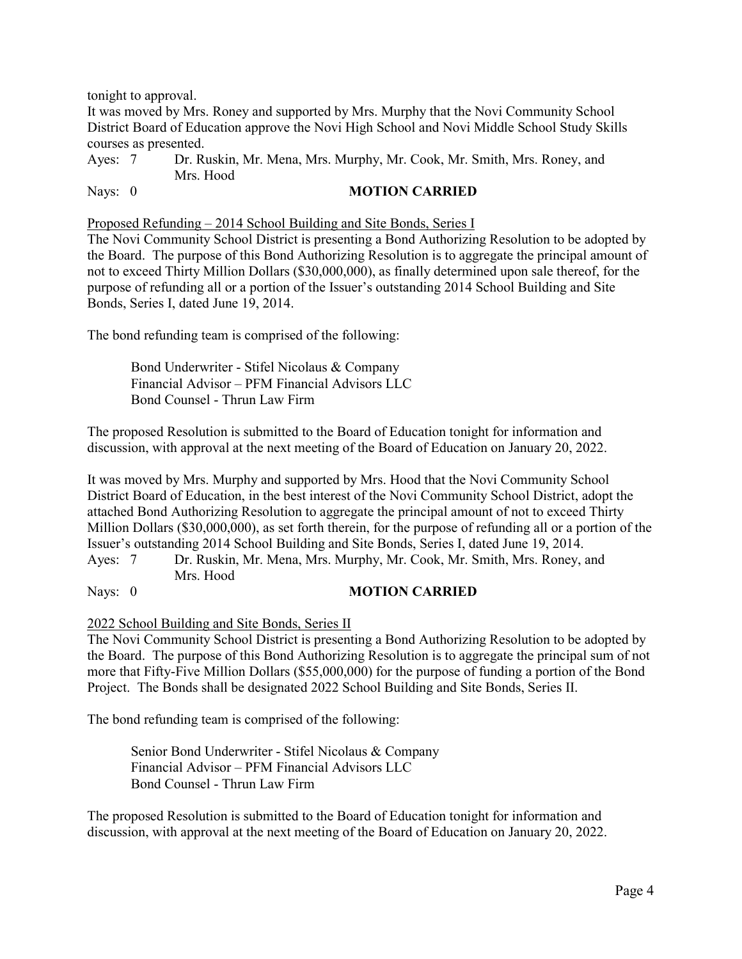tonight to approval.

It was moved by Mrs. Roney and supported by Mrs. Murphy that the Novi Community School District Board of Education approve the Novi High School and Novi Middle School Study Skills courses as presented.

Ayes: 7 Dr. Ruskin, Mr. Mena, Mrs. Murphy, Mr. Cook, Mr. Smith, Mrs. Roney, and Mrs. Hood

Nays: 0 **MOTION CARRIED** 

Proposed Refunding – 2014 School Building and Site Bonds, Series I

The Novi Community School District is presenting a Bond Authorizing Resolution to be adopted by the Board. The purpose of this Bond Authorizing Resolution is to aggregate the principal amount of not to exceed Thirty Million Dollars (\$30,000,000), as finally determined upon sale thereof, for the purpose of refunding all or a portion of the Issuer's outstanding 2014 School Building and Site Bonds, Series I, dated June 19, 2014.

The bond refunding team is comprised of the following:

Bond Underwriter - Stifel Nicolaus & Company Financial Advisor – PFM Financial Advisors LLC Bond Counsel - Thrun Law Firm

The proposed Resolution is submitted to the Board of Education tonight for information and discussion, with approval at the next meeting of the Board of Education on January 20, 2022.

It was moved by Mrs. Murphy and supported by Mrs. Hood that the Novi Community School District Board of Education, in the best interest of the Novi Community School District, adopt the attached Bond Authorizing Resolution to aggregate the principal amount of not to exceed Thirty Million Dollars (\$30,000,000), as set forth therein, for the purpose of refunding all or a portion of the Issuer's outstanding 2014 School Building and Site Bonds, Series I, dated June 19, 2014.

Ayes: 7 Dr. Ruskin, Mr. Mena, Mrs. Murphy, Mr. Cook, Mr. Smith, Mrs. Roney, and Mrs. Hood

#### Nays: 0 **MOTION CARRIED**

#### 2022 School Building and Site Bonds, Series II

The Novi Community School District is presenting a Bond Authorizing Resolution to be adopted by the Board. The purpose of this Bond Authorizing Resolution is to aggregate the principal sum of not more that Fifty-Five Million Dollars (\$55,000,000) for the purpose of funding a portion of the Bond Project. The Bonds shall be designated 2022 School Building and Site Bonds, Series II.

The bond refunding team is comprised of the following:

Senior Bond Underwriter - Stifel Nicolaus & Company Financial Advisor – PFM Financial Advisors LLC Bond Counsel - Thrun Law Firm

The proposed Resolution is submitted to the Board of Education tonight for information and discussion, with approval at the next meeting of the Board of Education on January 20, 2022.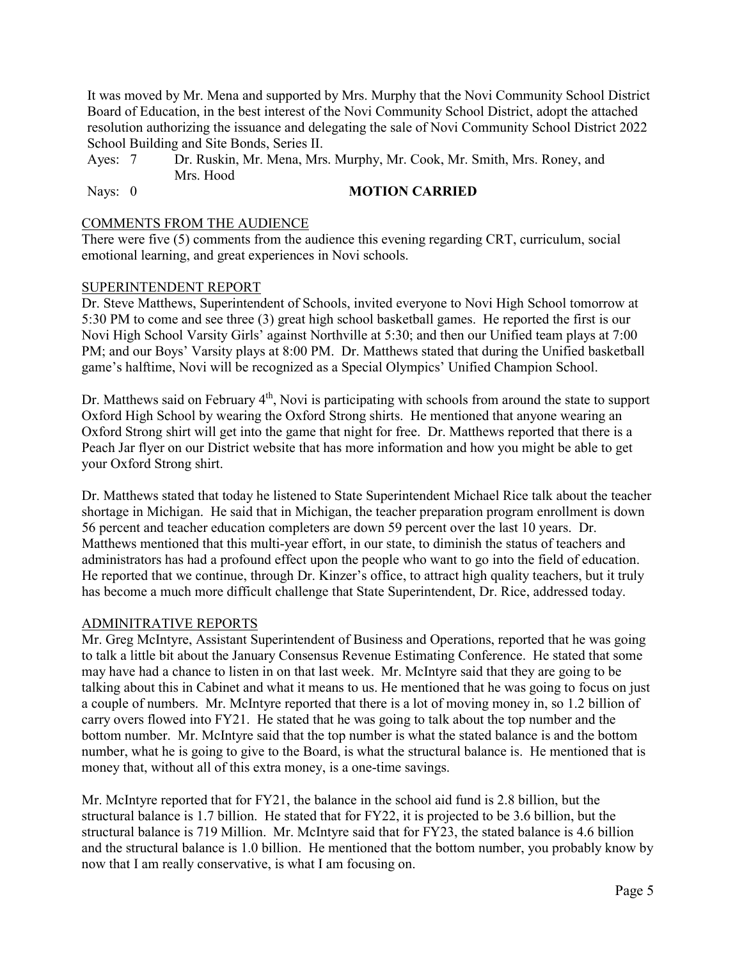It was moved by Mr. Mena and supported by Mrs. Murphy that the Novi Community School District Board of Education, in the best interest of the Novi Community School District, adopt the attached resolution authorizing the issuance and delegating the sale of Novi Community School District 2022 School Building and Site Bonds, Series II.

Ayes: 7 Dr. Ruskin, Mr. Mena, Mrs. Murphy, Mr. Cook, Mr. Smith, Mrs. Roney, and Mrs. Hood

Nays: 0 **MOTION CARRIED** 

#### COMMENTS FROM THE AUDIENCE

There were five (5) comments from the audience this evening regarding CRT, curriculum, social emotional learning, and great experiences in Novi schools.

#### SUPERINTENDENT REPORT

Dr. Steve Matthews, Superintendent of Schools, invited everyone to Novi High School tomorrow at 5:30 PM to come and see three (3) great high school basketball games. He reported the first is our Novi High School Varsity Girls' against Northville at 5:30; and then our Unified team plays at 7:00 PM; and our Boys' Varsity plays at 8:00 PM. Dr. Matthews stated that during the Unified basketball game's halftime, Novi will be recognized as a Special Olympics' Unified Champion School.

Dr. Matthews said on February  $4<sup>th</sup>$ , Novi is participating with schools from around the state to support Oxford High School by wearing the Oxford Strong shirts. He mentioned that anyone wearing an Oxford Strong shirt will get into the game that night for free. Dr. Matthews reported that there is a Peach Jar flyer on our District website that has more information and how you might be able to get your Oxford Strong shirt.

Dr. Matthews stated that today he listened to State Superintendent Michael Rice talk about the teacher shortage in Michigan. He said that in Michigan, the teacher preparation program enrollment is down 56 percent and teacher education completers are down 59 percent over the last 10 years. Dr. Matthews mentioned that this multi-year effort, in our state, to diminish the status of teachers and administrators has had a profound effect upon the people who want to go into the field of education. He reported that we continue, through Dr. Kinzer's office, to attract high quality teachers, but it truly has become a much more difficult challenge that State Superintendent, Dr. Rice, addressed today.

#### ADMINITRATIVE REPORTS

Mr. Greg McIntyre, Assistant Superintendent of Business and Operations, reported that he was going to talk a little bit about the January Consensus Revenue Estimating Conference. He stated that some may have had a chance to listen in on that last week. Mr. McIntyre said that they are going to be talking about this in Cabinet and what it means to us. He mentioned that he was going to focus on just a couple of numbers. Mr. McIntyre reported that there is a lot of moving money in, so 1.2 billion of carry overs flowed into FY21. He stated that he was going to talk about the top number and the bottom number. Mr. McIntyre said that the top number is what the stated balance is and the bottom number, what he is going to give to the Board, is what the structural balance is. He mentioned that is money that, without all of this extra money, is a one-time savings.

Mr. McIntyre reported that for FY21, the balance in the school aid fund is 2.8 billion, but the structural balance is 1.7 billion. He stated that for FY22, it is projected to be 3.6 billion, but the structural balance is 719 Million. Mr. McIntyre said that for FY23, the stated balance is 4.6 billion and the structural balance is 1.0 billion. He mentioned that the bottom number, you probably know by now that I am really conservative, is what I am focusing on.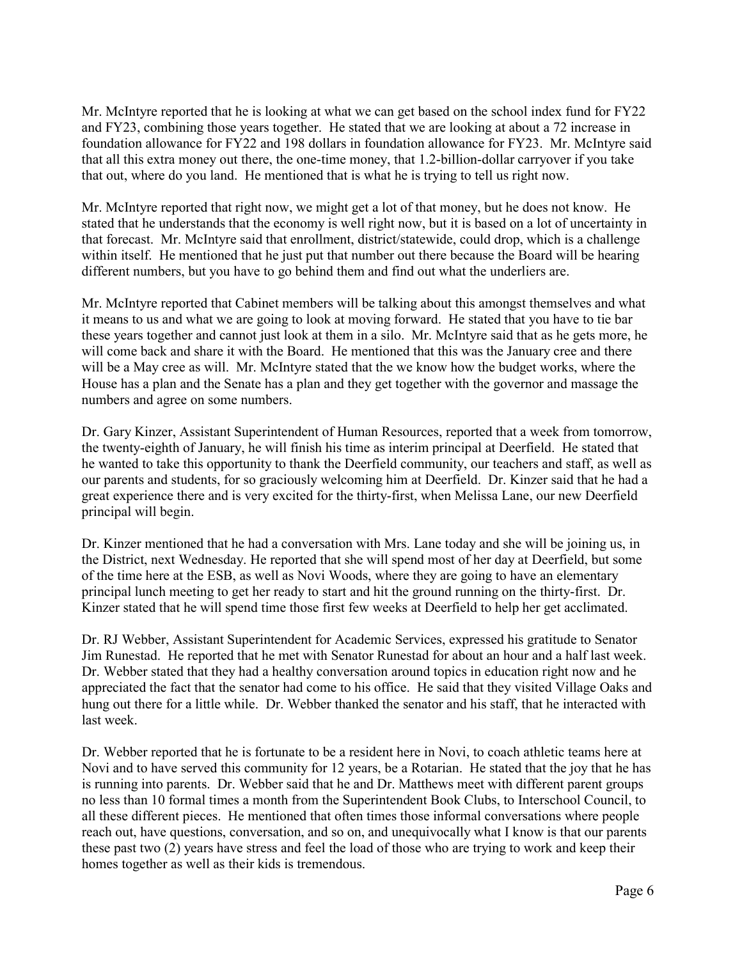Mr. McIntyre reported that he is looking at what we can get based on the school index fund for FY22 and FY23, combining those years together. He stated that we are looking at about a 72 increase in foundation allowance for FY22 and 198 dollars in foundation allowance for FY23. Mr. McIntyre said that all this extra money out there, the one-time money, that 1.2-billion-dollar carryover if you take that out, where do you land. He mentioned that is what he is trying to tell us right now.

Mr. McIntyre reported that right now, we might get a lot of that money, but he does not know. He stated that he understands that the economy is well right now, but it is based on a lot of uncertainty in that forecast. Mr. McIntyre said that enrollment, district/statewide, could drop, which is a challenge within itself. He mentioned that he just put that number out there because the Board will be hearing different numbers, but you have to go behind them and find out what the underliers are.

Mr. McIntyre reported that Cabinet members will be talking about this amongst themselves and what it means to us and what we are going to look at moving forward. He stated that you have to tie bar these years together and cannot just look at them in a silo. Mr. McIntyre said that as he gets more, he will come back and share it with the Board. He mentioned that this was the January cree and there will be a May cree as will. Mr. McIntyre stated that the we know how the budget works, where the House has a plan and the Senate has a plan and they get together with the governor and massage the numbers and agree on some numbers.

Dr. Gary Kinzer, Assistant Superintendent of Human Resources, reported that a week from tomorrow, the twenty-eighth of January, he will finish his time as interim principal at Deerfield. He stated that he wanted to take this opportunity to thank the Deerfield community, our teachers and staff, as well as our parents and students, for so graciously welcoming him at Deerfield. Dr. Kinzer said that he had a great experience there and is very excited for the thirty-first, when Melissa Lane, our new Deerfield principal will begin.

Dr. Kinzer mentioned that he had a conversation with Mrs. Lane today and she will be joining us, in the District, next Wednesday. He reported that she will spend most of her day at Deerfield, but some of the time here at the ESB, as well as Novi Woods, where they are going to have an elementary principal lunch meeting to get her ready to start and hit the ground running on the thirty-first. Dr. Kinzer stated that he will spend time those first few weeks at Deerfield to help her get acclimated.

Dr. RJ Webber, Assistant Superintendent for Academic Services, expressed his gratitude to Senator Jim Runestad. He reported that he met with Senator Runestad for about an hour and a half last week. Dr. Webber stated that they had a healthy conversation around topics in education right now and he appreciated the fact that the senator had come to his office. He said that they visited Village Oaks and hung out there for a little while. Dr. Webber thanked the senator and his staff, that he interacted with last week.

Dr. Webber reported that he is fortunate to be a resident here in Novi, to coach athletic teams here at Novi and to have served this community for 12 years, be a Rotarian. He stated that the joy that he has is running into parents. Dr. Webber said that he and Dr. Matthews meet with different parent groups no less than 10 formal times a month from the Superintendent Book Clubs, to Interschool Council, to all these different pieces. He mentioned that often times those informal conversations where people reach out, have questions, conversation, and so on, and unequivocally what I know is that our parents these past two (2) years have stress and feel the load of those who are trying to work and keep their homes together as well as their kids is tremendous.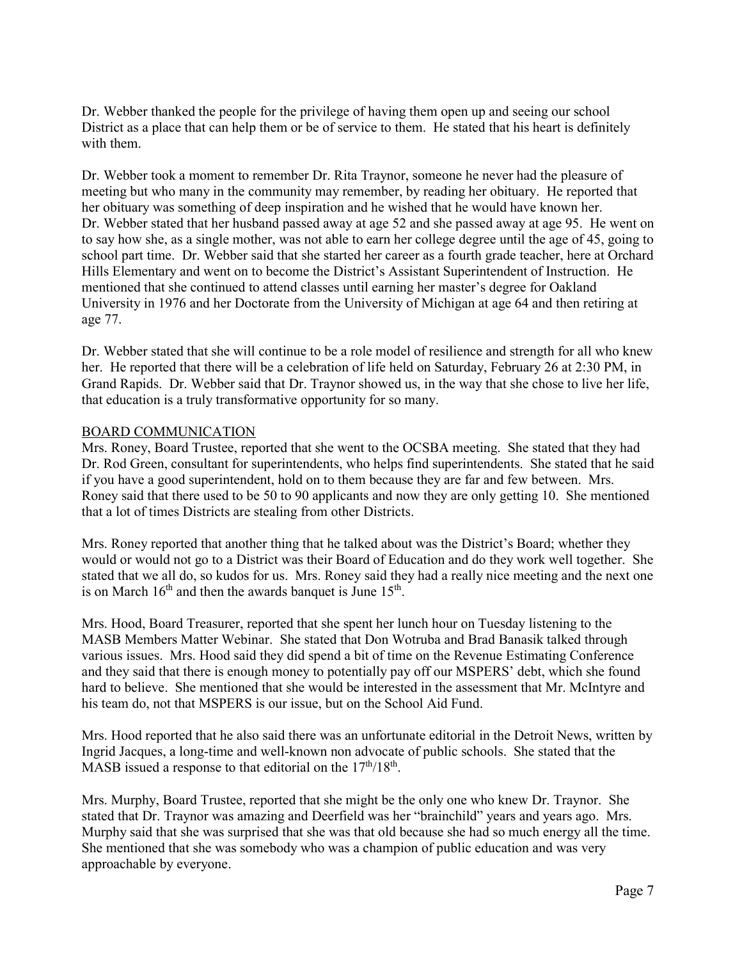Dr. Webber thanked the people for the privilege of having them open up and seeing our school District as a place that can help them or be of service to them. He stated that his heart is definitely with them.

Dr. Webber took a moment to remember Dr. Rita Traynor, someone he never had the pleasure of meeting but who many in the community may remember, by reading her obituary. He reported that her obituary was something of deep inspiration and he wished that he would have known her. Dr. Webber stated that her husband passed away at age 52 and she passed away at age 95. He went on to say how she, as a single mother, was not able to earn her college degree until the age of 45, going to school part time. Dr. Webber said that she started her career as a fourth grade teacher, here at Orchard Hills Elementary and went on to become the District's Assistant Superintendent of Instruction. He mentioned that she continued to attend classes until earning her master's degree for Oakland University in 1976 and her Doctorate from the University of Michigan at age 64 and then retiring at age 77.

Dr. Webber stated that she will continue to be a role model of resilience and strength for all who knew her. He reported that there will be a celebration of life held on Saturday, February 26 at 2:30 PM, in Grand Rapids. Dr. Webber said that Dr. Traynor showed us, in the way that she chose to live her life, that education is a truly transformative opportunity for so many.

#### BOARD COMMUNICATION

Mrs. Roney, Board Trustee, reported that she went to the OCSBA meeting. She stated that they had Dr. Rod Green, consultant for superintendents, who helps find superintendents. She stated that he said if you have a good superintendent, hold on to them because they are far and few between. Mrs. Roney said that there used to be 50 to 90 applicants and now they are only getting 10. She mentioned that a lot of times Districts are stealing from other Districts.

Mrs. Roney reported that another thing that he talked about was the District's Board; whether they would or would not go to a District was their Board of Education and do they work well together. She stated that we all do, so kudos for us. Mrs. Roney said they had a really nice meeting and the next one is on March  $16<sup>th</sup>$  and then the awards banquet is June  $15<sup>th</sup>$ .

Mrs. Hood, Board Treasurer, reported that she spent her lunch hour on Tuesday listening to the MASB Members Matter Webinar. She stated that Don Wotruba and Brad Banasik talked through various issues. Mrs. Hood said they did spend a bit of time on the Revenue Estimating Conference and they said that there is enough money to potentially pay off our MSPERS' debt, which she found hard to believe. She mentioned that she would be interested in the assessment that Mr. McIntyre and his team do, not that MSPERS is our issue, but on the School Aid Fund.

Mrs. Hood reported that he also said there was an unfortunate editorial in the Detroit News, written by Ingrid Jacques, a long-time and well-known non advocate of public schools. She stated that the MASB issued a response to that editorial on the  $17<sup>th</sup>/18<sup>th</sup>$ .

Mrs. Murphy, Board Trustee, reported that she might be the only one who knew Dr. Traynor. She stated that Dr. Traynor was amazing and Deerfield was her "brainchild" years and years ago. Mrs. Murphy said that she was surprised that she was that old because she had so much energy all the time. She mentioned that she was somebody who was a champion of public education and was very approachable by everyone.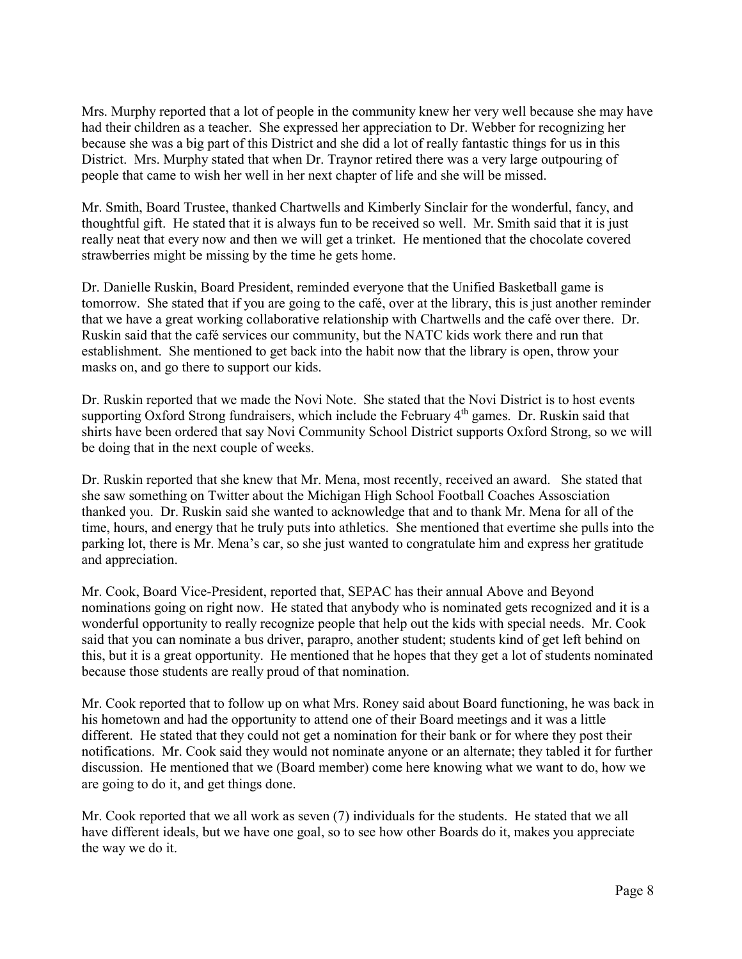Mrs. Murphy reported that a lot of people in the community knew her very well because she may have had their children as a teacher. She expressed her appreciation to Dr. Webber for recognizing her because she was a big part of this District and she did a lot of really fantastic things for us in this District. Mrs. Murphy stated that when Dr. Traynor retired there was a very large outpouring of people that came to wish her well in her next chapter of life and she will be missed.

Mr. Smith, Board Trustee, thanked Chartwells and Kimberly Sinclair for the wonderful, fancy, and thoughtful gift. He stated that it is always fun to be received so well. Mr. Smith said that it is just really neat that every now and then we will get a trinket. He mentioned that the chocolate covered strawberries might be missing by the time he gets home.

Dr. Danielle Ruskin, Board President, reminded everyone that the Unified Basketball game is tomorrow. She stated that if you are going to the café, over at the library, this is just another reminder that we have a great working collaborative relationship with Chartwells and the café over there. Dr. Ruskin said that the café services our community, but the NATC kids work there and run that establishment. She mentioned to get back into the habit now that the library is open, throw your masks on, and go there to support our kids.

Dr. Ruskin reported that we made the Novi Note. She stated that the Novi District is to host events supporting Oxford Strong fundraisers, which include the February 4<sup>th</sup> games. Dr. Ruskin said that shirts have been ordered that say Novi Community School District supports Oxford Strong, so we will be doing that in the next couple of weeks.

Dr. Ruskin reported that she knew that Mr. Mena, most recently, received an award. She stated that she saw something on Twitter about the Michigan High School Football Coaches Assosciation thanked you. Dr. Ruskin said she wanted to acknowledge that and to thank Mr. Mena for all of the time, hours, and energy that he truly puts into athletics. She mentioned that evertime she pulls into the parking lot, there is Mr. Mena's car, so she just wanted to congratulate him and express her gratitude and appreciation.

Mr. Cook, Board Vice-President, reported that, SEPAC has their annual Above and Beyond nominations going on right now. He stated that anybody who is nominated gets recognized and it is a wonderful opportunity to really recognize people that help out the kids with special needs. Mr. Cook said that you can nominate a bus driver, parapro, another student; students kind of get left behind on this, but it is a great opportunity. He mentioned that he hopes that they get a lot of students nominated because those students are really proud of that nomination.

Mr. Cook reported that to follow up on what Mrs. Roney said about Board functioning, he was back in his hometown and had the opportunity to attend one of their Board meetings and it was a little different. He stated that they could not get a nomination for their bank or for where they post their notifications. Mr. Cook said they would not nominate anyone or an alternate; they tabled it for further discussion. He mentioned that we (Board member) come here knowing what we want to do, how we are going to do it, and get things done.

Mr. Cook reported that we all work as seven (7) individuals for the students. He stated that we all have different ideals, but we have one goal, so to see how other Boards do it, makes you appreciate the way we do it.